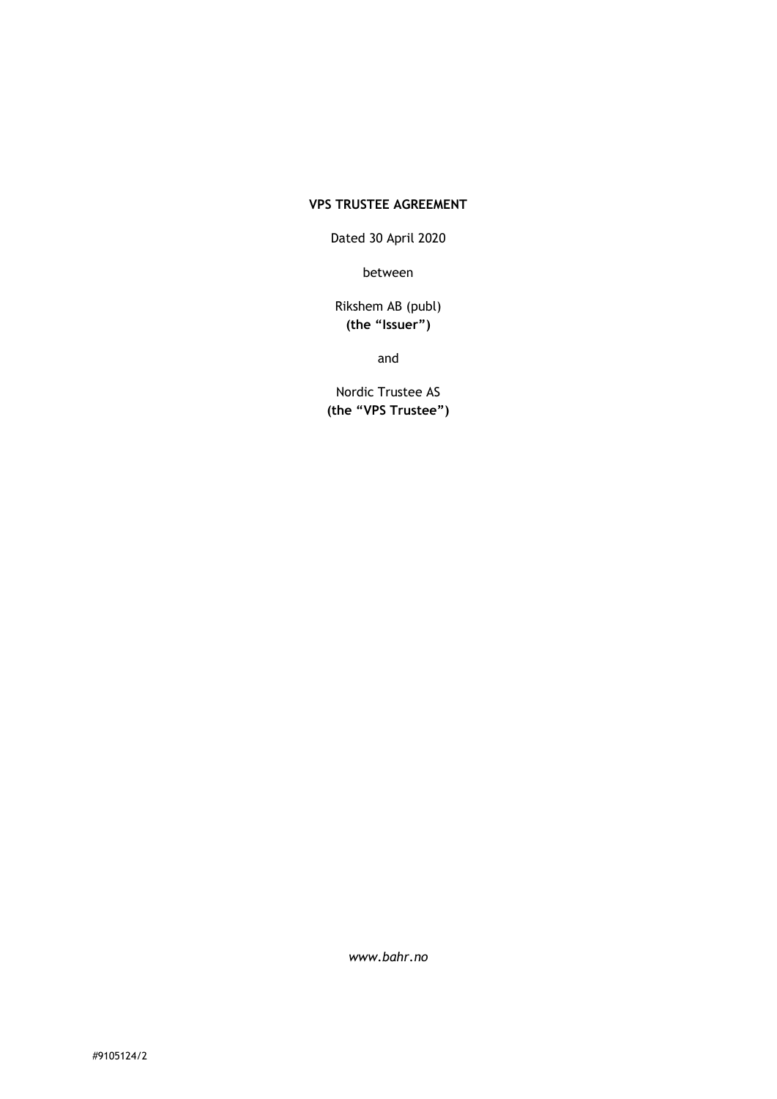## **VPS TRUSTEE AGREEMENT**

Dated 30 April 2020

between

## Rikshem AB (publ) **(the "Issuer")**

and

Nordic Trustee AS **(the "VPS Trustee")**

*www.bahr.no*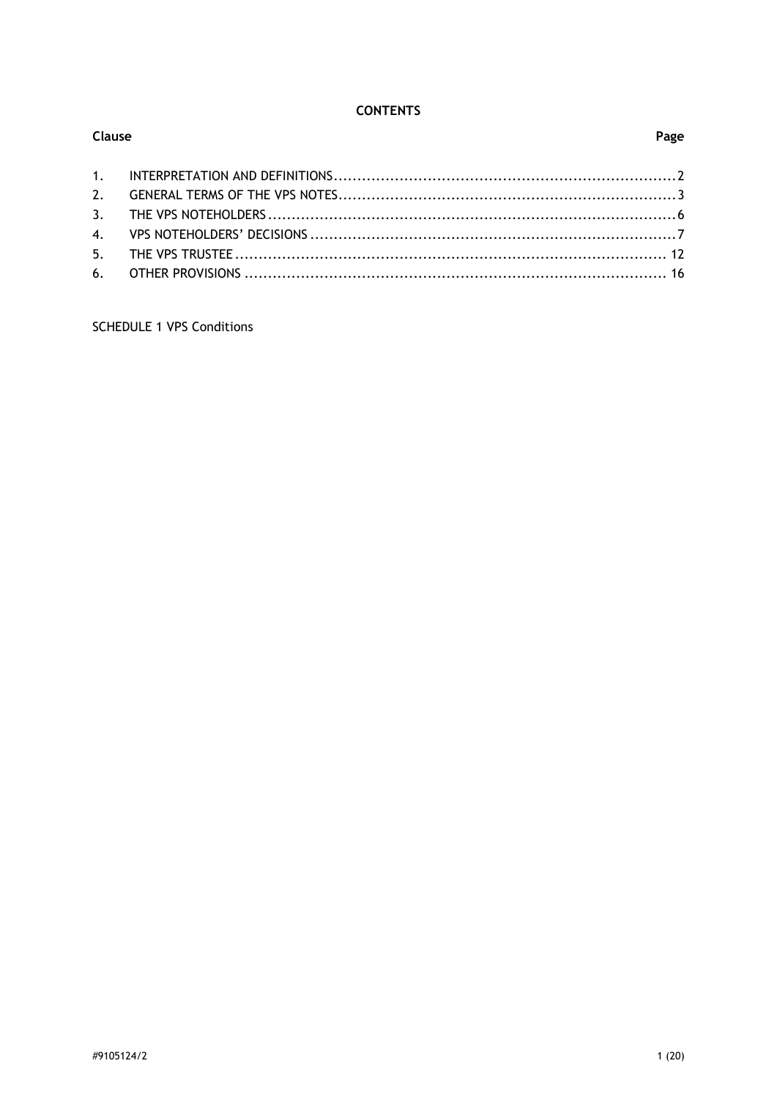# **CONTENTS**

| <b>Clause</b> |  |  |
|---------------|--|--|
|               |  |  |
|               |  |  |
|               |  |  |
|               |  |  |
|               |  |  |
|               |  |  |
|               |  |  |

**SCHEDULE 1 VPS Conditions**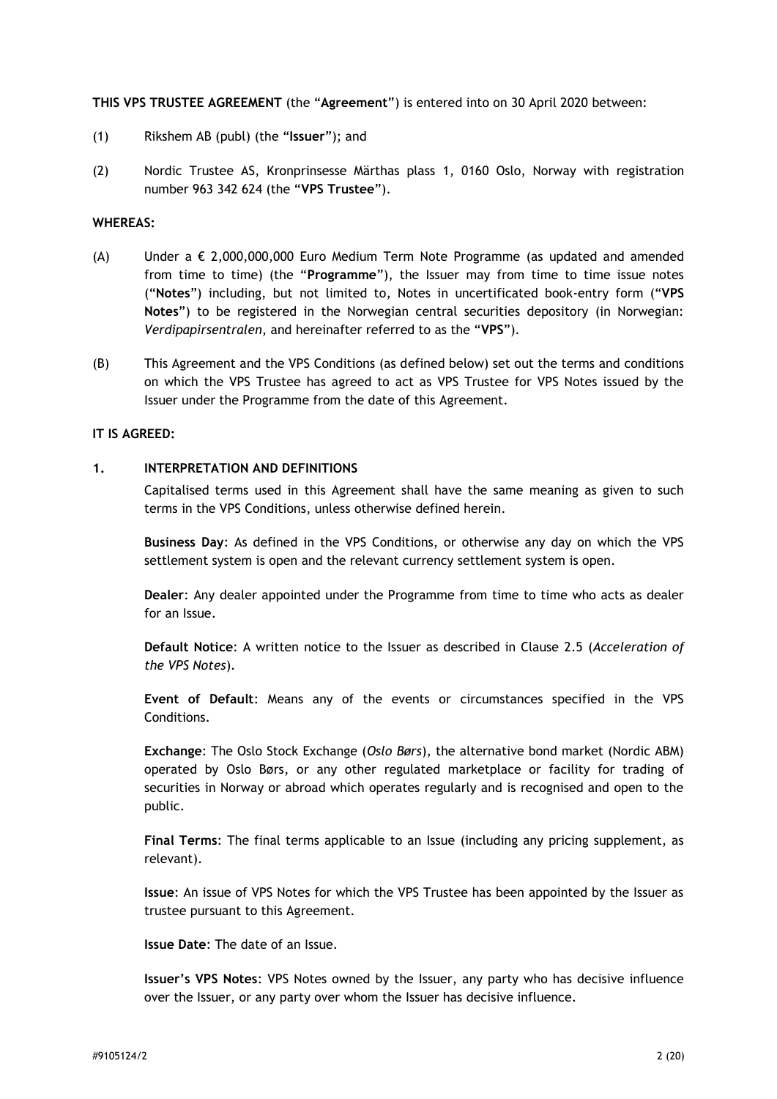#### **THIS VPS TRUSTEE AGREEMENT** (the "**Agreement**") is entered into on 30 April 2020 between:

- (1) Rikshem AB (publ) (the "**Issuer**"); and
- (2) Nordic Trustee AS, Kronprinsesse Märthas plass 1, 0160 Oslo, Norway with registration number 963 342 624 (the "**VPS Trustee**").

#### **WHEREAS:**

- (A) Under a  $\epsilon$  2,000,000,000 Euro Medium Term Note Programme (as updated and amended from time to time) (the "**Programme**"), the Issuer may from time to time issue notes ("**Notes**") including, but not limited to, Notes in uncertificated book-entry form ("**VPS Notes**") to be registered in the Norwegian central securities depository (in Norwegian: *Verdipapirsentralen*, and hereinafter referred to as the "**VPS**").
- (B) This Agreement and the VPS Conditions (as defined below) set out the terms and conditions on which the VPS Trustee has agreed to act as VPS Trustee for VPS Notes issued by the Issuer under the Programme from the date of this Agreement.

#### **IT IS AGREED:**

#### <span id="page-2-0"></span>**1. INTERPRETATION AND DEFINITIONS**

Capitalised terms used in this Agreement shall have the same meaning as given to such terms in the VPS Conditions, unless otherwise defined herein.

**Business Day**: As defined in the VPS Conditions, or otherwise any day on which the VPS settlement system is open and the relevant currency settlement system is open.

**Dealer**: Any dealer appointed under the Programme from time to time who acts as dealer for an Issue.

**Default Notice**: A written notice to the Issuer as described in Clause [2.5](#page-6-1) (*Acceleration of the VPS Notes*).

**Event of Default**: Means any of the events or circumstances specified in the VPS Conditions.

**Exchange**: The Oslo Stock Exchange (*Oslo Børs*), the alternative bond market (Nordic ABM) operated by Oslo Børs, or any other regulated marketplace or facility for trading of securities in Norway or abroad which operates regularly and is recognised and open to the public.

**Final Terms**: The final terms applicable to an Issue (including any pricing supplement, as relevant).

**Issue**: An issue of VPS Notes for which the VPS Trustee has been appointed by the Issuer as trustee pursuant to this Agreement.

**Issue Date**: The date of an Issue.

**Issuer's VPS Notes**: VPS Notes owned by the Issuer, any party who has decisive influence over the Issuer, or any party over whom the Issuer has decisive influence.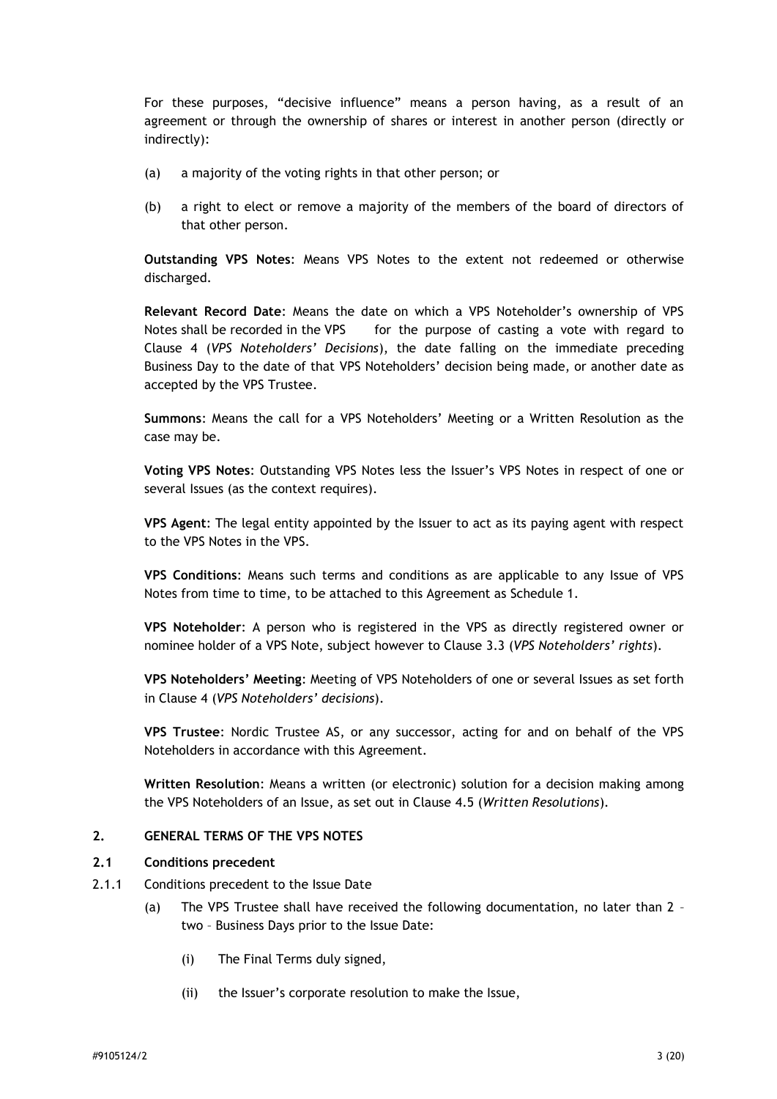For these purposes, "decisive influence" means a person having, as a result of an agreement or through the ownership of shares or interest in another person (directly or indirectly):

- (a) a majority of the voting rights in that other person; or
- (b) a right to elect or remove a majority of the members of the board of directors of that other person.

**Outstanding VPS Notes**: Means VPS Notes to the extent not redeemed or otherwise discharged.

**Relevant Record Date**: Means the date on which a VPS Noteholder's ownership of VPS Notes shall be recorded in the VPS for the purpose of casting a vote with regard to Clause [4](#page-7-0) (*VPS Noteholders' Decisions*), the date falling on the immediate preceding Business Day to the date of that VPS Noteholders' decision being made, or another date as accepted by the VPS Trustee.

**Summons**: Means the call for a VPS Noteholders' Meeting or a Written Resolution as the case may be.

**Voting VPS Notes**: Outstanding VPS Notes less the Issuer's VPS Notes in respect of one or several Issues (as the context requires).

**VPS Agent**: The legal entity appointed by the Issuer to act as its paying agent with respect to the VPS Notes in the VPS.

**VPS Conditions**: Means such terms and conditions as are applicable to any Issue of VPS Notes from time to time, to be attached to this Agreement as Schedule 1.

**VPS Noteholder**: A person who is registered in the VPS as directly registered owner or nominee holder of a VPS Note, subject however to Clause [3.3](#page-7-1) (*VPS Noteholders' rights*).

**VPS Noteholders' Meeting**: Meeting of VPS Noteholders of one or several Issues as set forth in Clause [4](#page-7-0) (*VPS Noteholders' decisions*).

**VPS Trustee**: Nordic Trustee AS, or any successor, acting for and on behalf of the VPS Noteholders in accordance with this Agreement.

**Written Resolution**: Means a written (or electronic) solution for a decision making among the VPS Noteholders of an Issue, as set out in Clause [4.5](#page-11-0) (*Written Resolutions*).

#### <span id="page-3-0"></span>**2. GENERAL TERMS OF THE VPS NOTES**

#### <span id="page-3-1"></span>**2.1 Conditions precedent**

- 2.1.1 Conditions precedent to the Issue Date
	- (a) The VPS Trustee shall have received the following documentation, no later than 2 two – Business Days prior to the Issue Date:
		- (i) The Final Terms duly signed,
		- (ii) the Issuer's corporate resolution to make the Issue,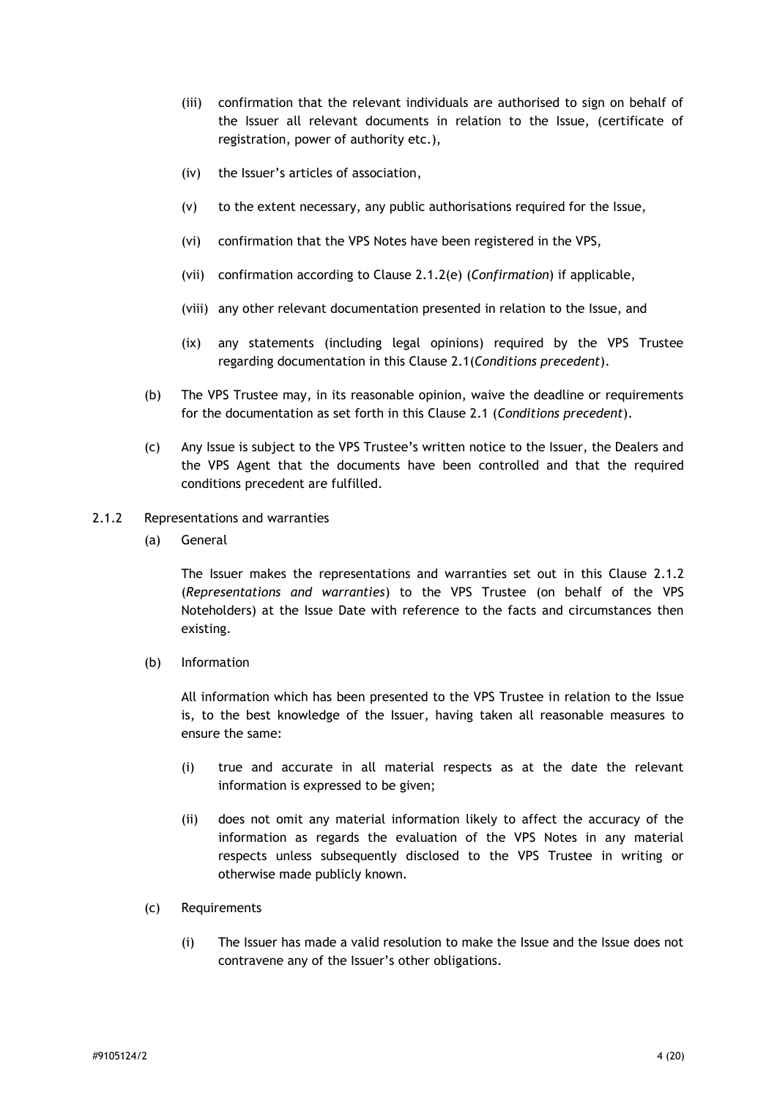- (iii) confirmation that the relevant individuals are authorised to sign on behalf of the Issuer all relevant documents in relation to the Issue, (certificate of registration, power of authority etc.),
- (iv) the Issuer's articles of association,
- (v) to the extent necessary, any public authorisations required for the Issue,
- (vi) confirmation that the VPS Notes have been registered in the VPS,
- (vii) confirmation according to Clause [2.1.2\(e\)](#page-5-0) (*Confirmation*) if applicable,
- (viii) any other relevant documentation presented in relation to the Issue, and
- (ix) any statements (including legal opinions) required by the VPS Trustee regarding documentation in this Clause [2.1\(](#page-3-1)*Conditions precedent*).
- (b) The VPS Trustee may, in its reasonable opinion, waive the deadline or requirements for the documentation as set forth in this Clause [2.1](#page-3-1) (*Conditions precedent*).
- (c) Any Issue is subject to the VPS Trustee's written notice to the Issuer, the Dealers and the VPS Agent that the documents have been controlled and that the required conditions precedent are fulfilled.
- <span id="page-4-0"></span>2.1.2 Representations and warranties
	- (a) General

The Issuer makes the representations and warranties set out in this Clause [2.1.2](#page-4-0) (*Representations and warranties*) to the VPS Trustee (on behalf of the VPS Noteholders) at the Issue Date with reference to the facts and circumstances then existing.

(b) Information

All information which has been presented to the VPS Trustee in relation to the Issue is, to the best knowledge of the Issuer, having taken all reasonable measures to ensure the same:

- (i) true and accurate in all material respects as at the date the relevant information is expressed to be given;
- (ii) does not omit any material information likely to affect the accuracy of the information as regards the evaluation of the VPS Notes in any material respects unless subsequently disclosed to the VPS Trustee in writing or otherwise made publicly known.
- (c) Requirements
	- (i) The Issuer has made a valid resolution to make the Issue and the Issue does not contravene any of the Issuer's other obligations.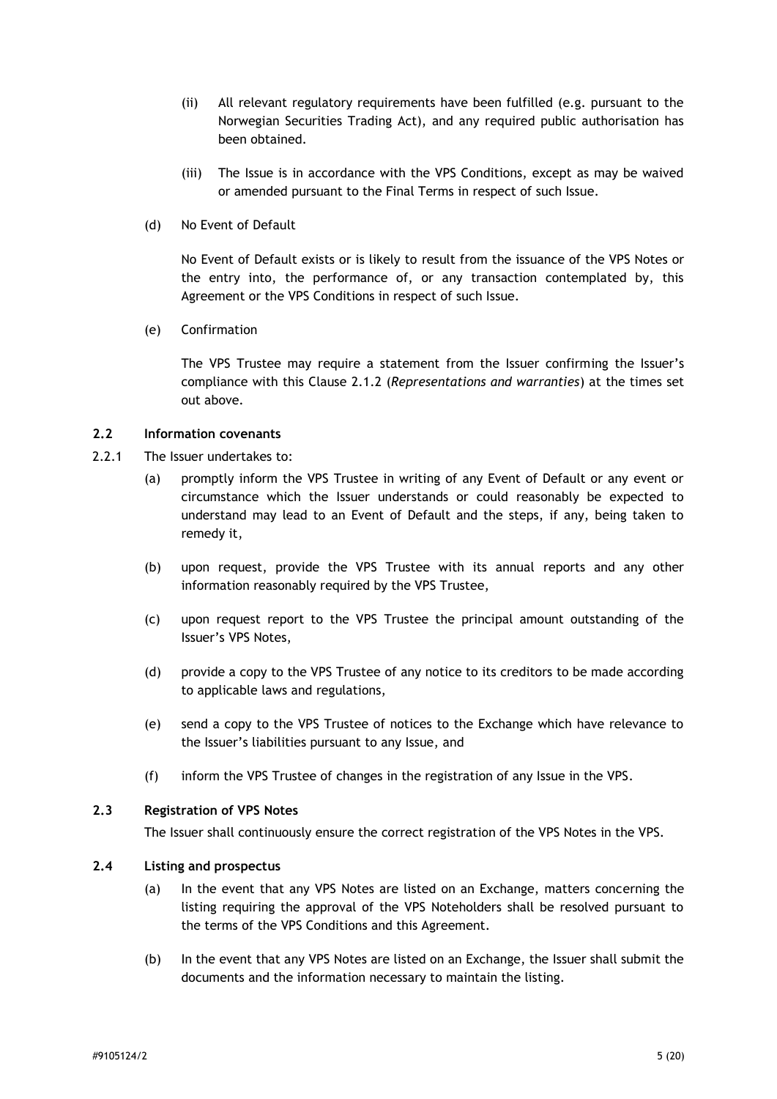- (ii) All relevant regulatory requirements have been fulfilled (e.g. pursuant to the Norwegian Securities Trading Act), and any required public authorisation has been obtained.
- (iii) The Issue is in accordance with the VPS Conditions, except as may be waived or amended pursuant to the Final Terms in respect of such Issue.
- (d) No Event of Default

No Event of Default exists or is likely to result from the issuance of the VPS Notes or the entry into, the performance of, or any transaction contemplated by, this Agreement or the VPS Conditions in respect of such Issue.

<span id="page-5-0"></span>(e) Confirmation

The VPS Trustee may require a statement from the Issuer confirming the Issuer's compliance with this Clause [2.1.2](#page-4-0) (*Representations and warranties*) at the times set out above.

#### **2.2 Information covenants**

- 2.2.1 The Issuer undertakes to:
	- (a) promptly inform the VPS Trustee in writing of any Event of Default or any event or circumstance which the Issuer understands or could reasonably be expected to understand may lead to an Event of Default and the steps, if any, being taken to remedy it,
	- (b) upon request, provide the VPS Trustee with its annual reports and any other information reasonably required by the VPS Trustee,
	- (c) upon request report to the VPS Trustee the principal amount outstanding of the Issuer's VPS Notes,
	- (d) provide a copy to the VPS Trustee of any notice to its creditors to be made according to applicable laws and regulations,
	- (e) send a copy to the VPS Trustee of notices to the Exchange which have relevance to the Issuer's liabilities pursuant to any Issue, and
	- (f) inform the VPS Trustee of changes in the registration of any Issue in the VPS.

### **2.3 Registration of VPS Notes**

The Issuer shall continuously ensure the correct registration of the VPS Notes in the VPS.

### **2.4 Listing and prospectus**

- (a) In the event that any VPS Notes are listed on an Exchange, matters concerning the listing requiring the approval of the VPS Noteholders shall be resolved pursuant to the terms of the VPS Conditions and this Agreement.
- (b) In the event that any VPS Notes are listed on an Exchange, the Issuer shall submit the documents and the information necessary to maintain the listing.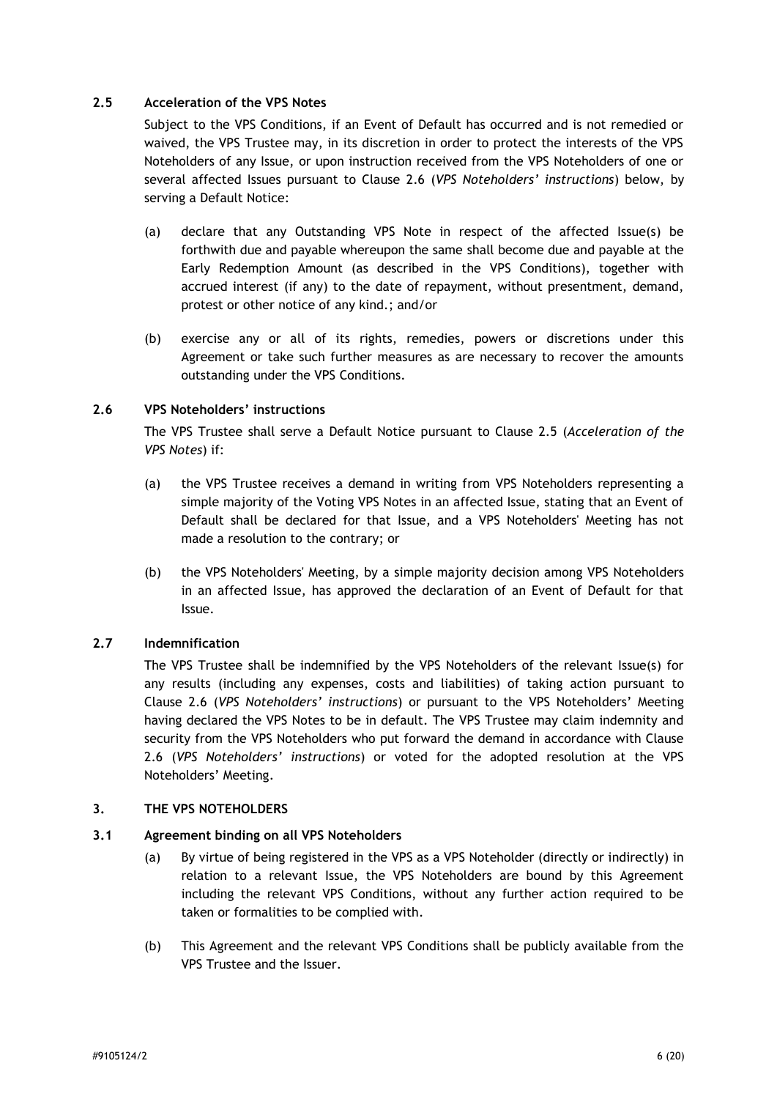### <span id="page-6-1"></span>**2.5 Acceleration of the VPS Notes**

Subject to the VPS Conditions, if an Event of Default has occurred and is not remedied or waived, the VPS Trustee may, in its discretion in order to protect the interests of the VPS Noteholders of any Issue, or upon instruction received from the VPS Noteholders of one or several affected Issues pursuant to Clause [2.6](#page-6-2) (*VPS Noteholders' instructions*) below, by serving a Default Notice:

- (a) declare that any Outstanding VPS Note in respect of the affected Issue(s) be forthwith due and payable whereupon the same shall become due and payable at the Early Redemption Amount (as described in the VPS Conditions), together with accrued interest (if any) to the date of repayment, without presentment, demand, protest or other notice of any kind.; and/or
- (b) exercise any or all of its rights, remedies, powers or discretions under this Agreement or take such further measures as are necessary to recover the amounts outstanding under the VPS Conditions.

## <span id="page-6-2"></span>**2.6 VPS Noteholders' instructions**

The VPS Trustee shall serve a Default Notice pursuant to Clause [2.5](#page-6-1) (*Acceleration of the VPS Notes*) if:

- (a) the VPS Trustee receives a demand in writing from VPS Noteholders representing a simple majority of the Voting VPS Notes in an affected Issue, stating that an Event of Default shall be declared for that Issue, and a VPS Noteholders' Meeting has not made a resolution to the contrary; or
- (b) the VPS Noteholders' Meeting, by a simple majority decision among VPS Noteholders in an affected Issue, has approved the declaration of an Event of Default for that Issue.

### **2.7 Indemnification**

The VPS Trustee shall be indemnified by the VPS Noteholders of the relevant Issue(s) for any results (including any expenses, costs and liabilities) of taking action pursuant to Clause [2.6](#page-6-2) (*VPS Noteholders' instructions*) or pursuant to the VPS Noteholders' Meeting having declared the VPS Notes to be in default. The VPS Trustee may claim indemnity and security from the VPS Noteholders who put forward the demand in accordance with Clause [2.6](#page-6-2) (*VPS Noteholders' instructions*) or voted for the adopted resolution at the VPS Noteholders' Meeting.

#### <span id="page-6-0"></span>**3. THE VPS NOTEHOLDERS**

#### **3.1 Agreement binding on all VPS Noteholders**

- (a) By virtue of being registered in the VPS as a VPS Noteholder (directly or indirectly) in relation to a relevant Issue, the VPS Noteholders are bound by this Agreement including the relevant VPS Conditions, without any further action required to be taken or formalities to be complied with.
- (b) This Agreement and the relevant VPS Conditions shall be publicly available from the VPS Trustee and the Issuer.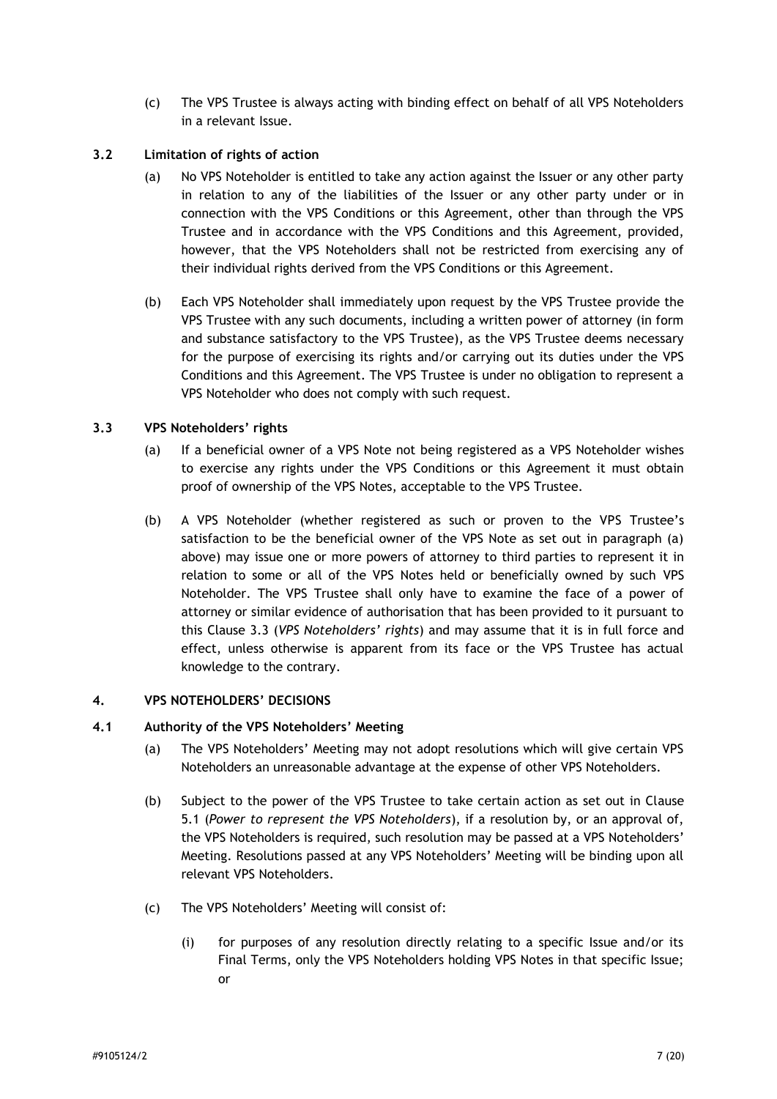(c) The VPS Trustee is always acting with binding effect on behalf of all VPS Noteholders in a relevant Issue.

## **3.2 Limitation of rights of action**

- (a) No VPS Noteholder is entitled to take any action against the Issuer or any other party in relation to any of the liabilities of the Issuer or any other party under or in connection with the VPS Conditions or this Agreement, other than through the VPS Trustee and in accordance with the VPS Conditions and this Agreement, provided, however, that the VPS Noteholders shall not be restricted from exercising any of their individual rights derived from the VPS Conditions or this Agreement.
- (b) Each VPS Noteholder shall immediately upon request by the VPS Trustee provide the VPS Trustee with any such documents, including a written power of attorney (in form and substance satisfactory to the VPS Trustee), as the VPS Trustee deems necessary for the purpose of exercising its rights and/or carrying out its duties under the VPS Conditions and this Agreement. The VPS Trustee is under no obligation to represent a VPS Noteholder who does not comply with such request.

## <span id="page-7-1"></span>**3.3 VPS Noteholders' rights**

- (a) If a beneficial owner of a VPS Note not being registered as a VPS Noteholder wishes to exercise any rights under the VPS Conditions or this Agreement it must obtain proof of ownership of the VPS Notes, acceptable to the VPS Trustee.
- (b) A VPS Noteholder (whether registered as such or proven to the VPS Trustee's satisfaction to be the beneficial owner of the VPS Note as set out in paragraph (a) above) may issue one or more powers of attorney to third parties to represent it in relation to some or all of the VPS Notes held or beneficially owned by such VPS Noteholder. The VPS Trustee shall only have to examine the face of a power of attorney or similar evidence of authorisation that has been provided to it pursuant to this Clause [3.3](#page-7-1) (*VPS Noteholders' rights*) and may assume that it is in full force and effect, unless otherwise is apparent from its face or the VPS Trustee has actual knowledge to the contrary.

#### <span id="page-7-0"></span>**4. VPS NOTEHOLDERS' DECISIONS**

#### <span id="page-7-2"></span>**4.1 Authority of the VPS Noteholders' Meeting**

- (a) The VPS Noteholders' Meeting may not adopt resolutions which will give certain VPS Noteholders an unreasonable advantage at the expense of other VPS Noteholders.
- (b) Subject to the power of the VPS Trustee to take certain action as set out in Clause [5.1](#page-12-1) (*Power to represent the VPS Noteholders*), if a resolution by, or an approval of, the VPS Noteholders is required, such resolution may be passed at a VPS Noteholders' Meeting. Resolutions passed at any VPS Noteholders' Meeting will be binding upon all relevant VPS Noteholders.
- (c) The VPS Noteholders' Meeting will consist of:
	- (i) for purposes of any resolution directly relating to a specific Issue and/or its Final Terms, only the VPS Noteholders holding VPS Notes in that specific Issue; or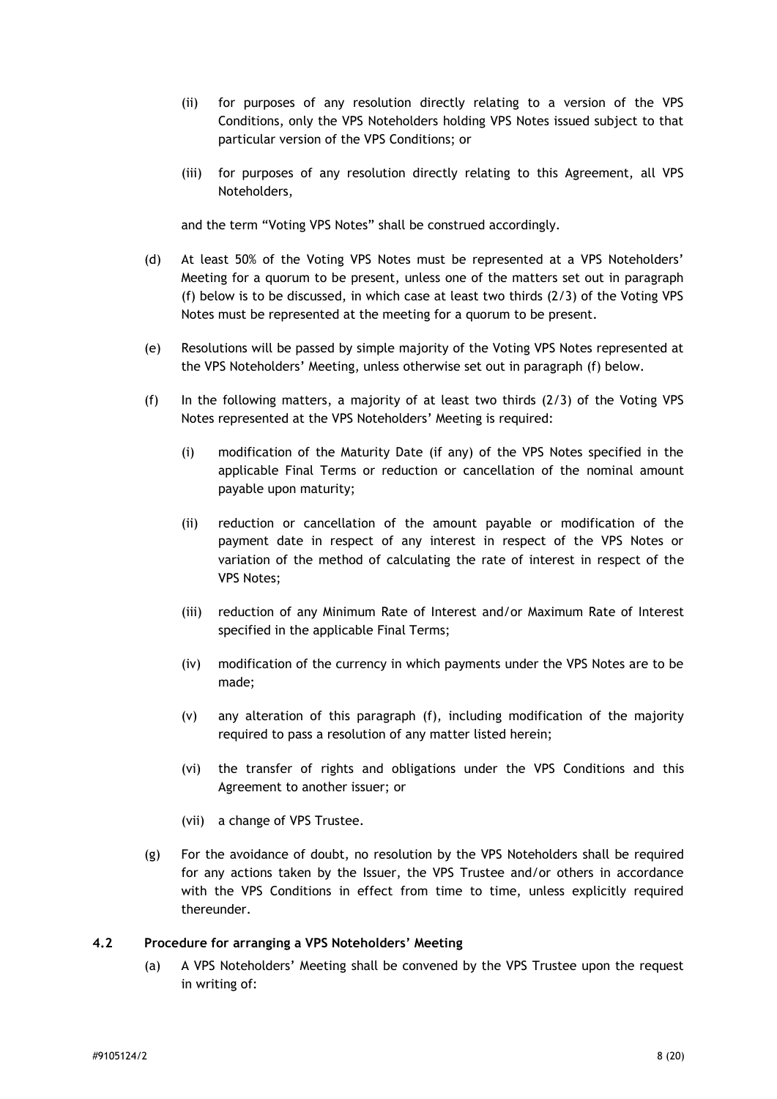- (ii) for purposes of any resolution directly relating to a version of the VPS Conditions, only the VPS Noteholders holding VPS Notes issued subject to that particular version of the VPS Conditions; or
- (iii) for purposes of any resolution directly relating to this Agreement, all VPS Noteholders,

and the term "Voting VPS Notes" shall be construed accordingly.

- (d) At least 50% of the Voting VPS Notes must be represented at a VPS Noteholders' Meeting for a quorum to be present, unless one of the matters set out in paragraph (f) below is to be discussed, in which case at least two thirds (2/3) of the Voting VPS Notes must be represented at the meeting for a quorum to be present.
- (e) Resolutions will be passed by simple majority of the Voting VPS Notes represented at the VPS Noteholders' Meeting, unless otherwise set out in paragraph (f) below.
- (f) In the following matters, a majority of at least two thirds (2/3) of the Voting VPS Notes represented at the VPS Noteholders' Meeting is required:
	- (i) modification of the Maturity Date (if any) of the VPS Notes specified in the applicable Final Terms or reduction or cancellation of the nominal amount payable upon maturity;
	- (ii) reduction or cancellation of the amount payable or modification of the payment date in respect of any interest in respect of the VPS Notes or variation of the method of calculating the rate of interest in respect of the VPS Notes;
	- (iii) reduction of any Minimum Rate of Interest and/or Maximum Rate of Interest specified in the applicable Final Terms;
	- (iv) modification of the currency in which payments under the VPS Notes are to be made;
	- (v) any alteration of this paragraph (f), including modification of the majority required to pass a resolution of any matter listed herein;
	- (vi) the transfer of rights and obligations under the VPS Conditions and this Agreement to another issuer; or
	- (vii) a change of VPS Trustee.
- (g) For the avoidance of doubt, no resolution by the VPS Noteholders shall be required for any actions taken by the Issuer, the VPS Trustee and/or others in accordance with the VPS Conditions in effect from time to time, unless explicitly required thereunder.

#### <span id="page-8-0"></span>**4.2 Procedure for arranging a VPS Noteholders' Meeting**

(a) A VPS Noteholders' Meeting shall be convened by the VPS Trustee upon the request in writing of: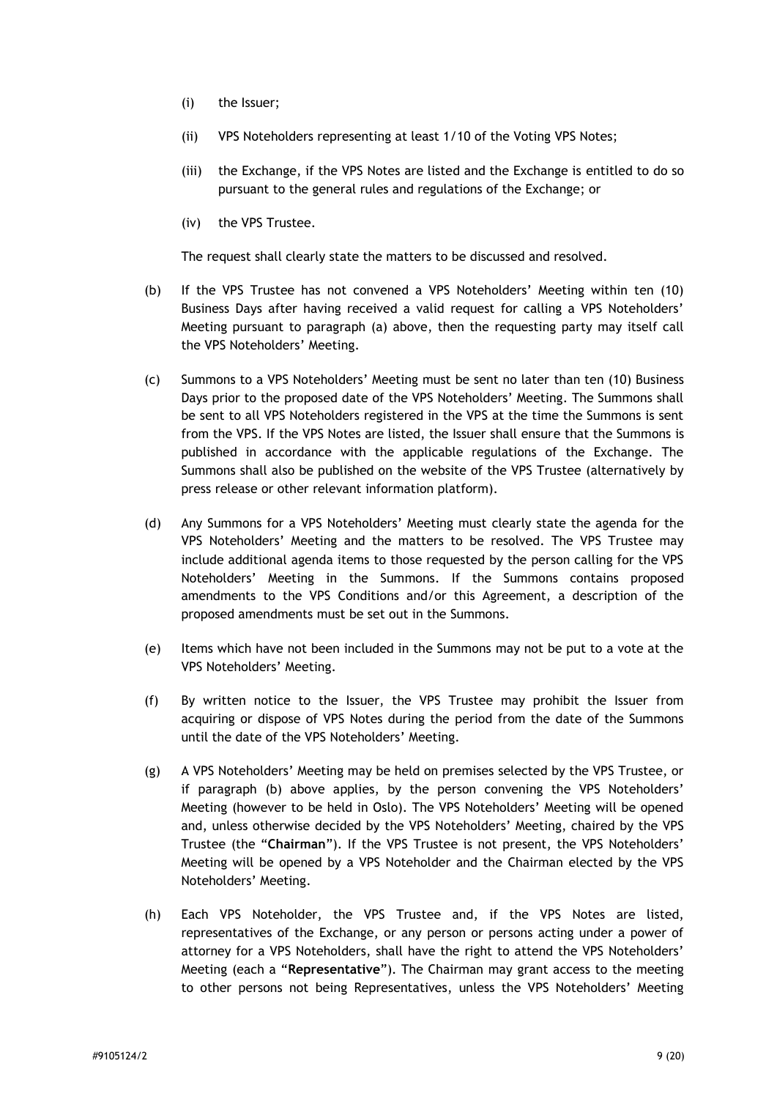- (i) the Issuer;
- (ii) VPS Noteholders representing at least 1/10 of the Voting VPS Notes;
- (iii) the Exchange, if the VPS Notes are listed and the Exchange is entitled to do so pursuant to the general rules and regulations of the Exchange; or
- (iv) the VPS Trustee.

The request shall clearly state the matters to be discussed and resolved.

- (b) If the VPS Trustee has not convened a VPS Noteholders' Meeting within ten (10) Business Days after having received a valid request for calling a VPS Noteholders' Meeting pursuant to paragraph (a) above, then the requesting party may itself call the VPS Noteholders' Meeting.
- (c) Summons to a VPS Noteholders' Meeting must be sent no later than ten (10) Business Days prior to the proposed date of the VPS Noteholders' Meeting. The Summons shall be sent to all VPS Noteholders registered in the VPS at the time the Summons is sent from the VPS. If the VPS Notes are listed, the Issuer shall ensure that the Summons is published in accordance with the applicable regulations of the Exchange. The Summons shall also be published on the website of the VPS Trustee (alternatively by press release or other relevant information platform).
- (d) Any Summons for a VPS Noteholders' Meeting must clearly state the agenda for the VPS Noteholders' Meeting and the matters to be resolved. The VPS Trustee may include additional agenda items to those requested by the person calling for the VPS Noteholders' Meeting in the Summons. If the Summons contains proposed amendments to the VPS Conditions and/or this Agreement, a description of the proposed amendments must be set out in the Summons.
- (e) Items which have not been included in the Summons may not be put to a vote at the VPS Noteholders' Meeting.
- (f) By written notice to the Issuer, the VPS Trustee may prohibit the Issuer from acquiring or dispose of VPS Notes during the period from the date of the Summons until the date of the VPS Noteholders' Meeting.
- (g) A VPS Noteholders' Meeting may be held on premises selected by the VPS Trustee, or if paragraph (b) above applies, by the person convening the VPS Noteholders' Meeting (however to be held in Oslo). The VPS Noteholders' Meeting will be opened and, unless otherwise decided by the VPS Noteholders' Meeting, chaired by the VPS Trustee (the "**Chairman**"). If the VPS Trustee is not present, the VPS Noteholders' Meeting will be opened by a VPS Noteholder and the Chairman elected by the VPS Noteholders' Meeting.
- (h) Each VPS Noteholder, the VPS Trustee and, if the VPS Notes are listed, representatives of the Exchange, or any person or persons acting under a power of attorney for a VPS Noteholders, shall have the right to attend the VPS Noteholders' Meeting (each a "**Representative**"). The Chairman may grant access to the meeting to other persons not being Representatives, unless the VPS Noteholders' Meeting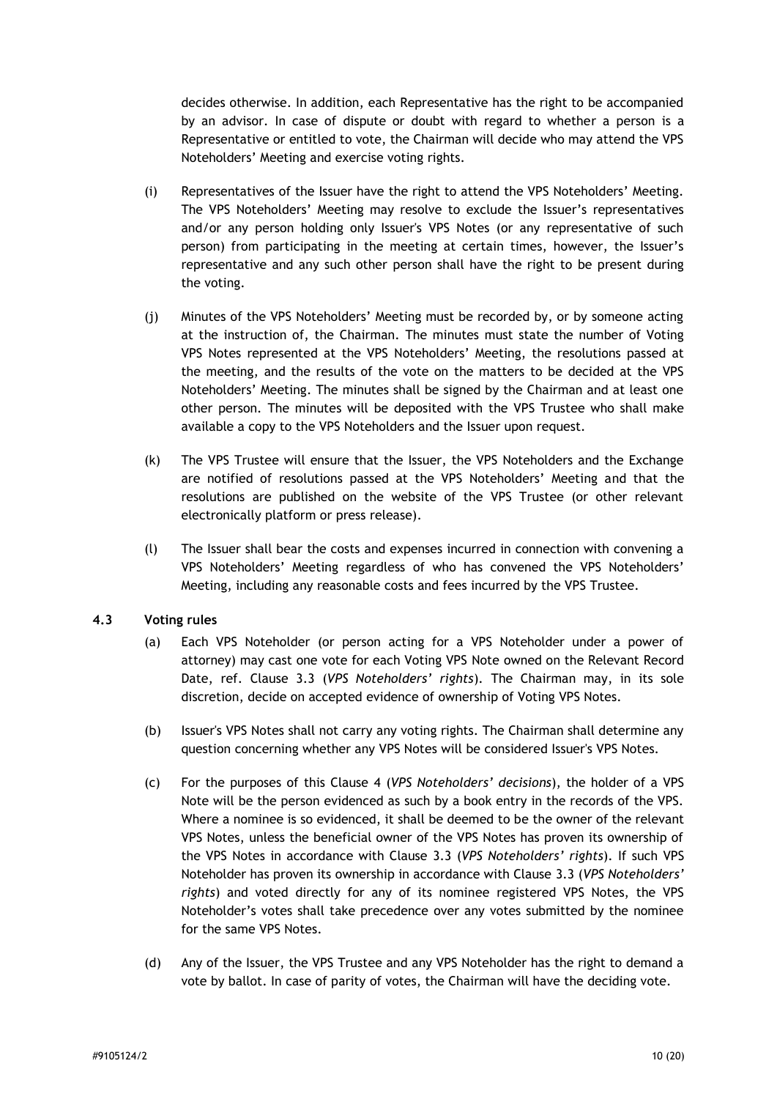decides otherwise. In addition, each Representative has the right to be accompanied by an advisor. In case of dispute or doubt with regard to whether a person is a Representative or entitled to vote, the Chairman will decide who may attend the VPS Noteholders' Meeting and exercise voting rights.

- (i) Representatives of the Issuer have the right to attend the VPS Noteholders' Meeting. The VPS Noteholders' Meeting may resolve to exclude the Issuer's representatives and/or any person holding only Issuer's VPS Notes (or any representative of such person) from participating in the meeting at certain times, however, the Issuer's representative and any such other person shall have the right to be present during the voting.
- (j) Minutes of the VPS Noteholders' Meeting must be recorded by, or by someone acting at the instruction of, the Chairman. The minutes must state the number of Voting VPS Notes represented at the VPS Noteholders' Meeting, the resolutions passed at the meeting, and the results of the vote on the matters to be decided at the VPS Noteholders' Meeting. The minutes shall be signed by the Chairman and at least one other person. The minutes will be deposited with the VPS Trustee who shall make available a copy to the VPS Noteholders and the Issuer upon request.
- (k) The VPS Trustee will ensure that the Issuer, the VPS Noteholders and the Exchange are notified of resolutions passed at the VPS Noteholders' Meeting and that the resolutions are published on the website of the VPS Trustee (or other relevant electronically platform or press release).
- (l) The Issuer shall bear the costs and expenses incurred in connection with convening a VPS Noteholders' Meeting regardless of who has convened the VPS Noteholders' Meeting, including any reasonable costs and fees incurred by the VPS Trustee.

#### <span id="page-10-0"></span>**4.3 Voting rules**

- (a) Each VPS Noteholder (or person acting for a VPS Noteholder under a power of attorney) may cast one vote for each Voting VPS Note owned on the Relevant Record Date, ref. Clause [3.3](#page-7-1) (*VPS Noteholders' rights*). The Chairman may, in its sole discretion, decide on accepted evidence of ownership of Voting VPS Notes.
- (b) Issuer's VPS Notes shall not carry any voting rights. The Chairman shall determine any question concerning whether any VPS Notes will be considered Issuer's VPS Notes.
- (c) For the purposes of this Clause [4](#page-7-0) (*VPS Noteholders' decisions*), the holder of a VPS Note will be the person evidenced as such by a book entry in the records of the VPS. Where a nominee is so evidenced, it shall be deemed to be the owner of the relevant VPS Notes, unless the beneficial owner of the VPS Notes has proven its ownership of the VPS Notes in accordance with Clause [3.3](#page-7-1) (*VPS Noteholders' rights*). If such VPS Noteholder has proven its ownership in accordance with Clause [3.3](#page-7-1) (*VPS Noteholders' rights*) and voted directly for any of its nominee registered VPS Notes, the VPS Noteholder's votes shall take precedence over any votes submitted by the nominee for the same VPS Notes.
- (d) Any of the Issuer, the VPS Trustee and any VPS Noteholder has the right to demand a vote by ballot. In case of parity of votes, the Chairman will have the deciding vote.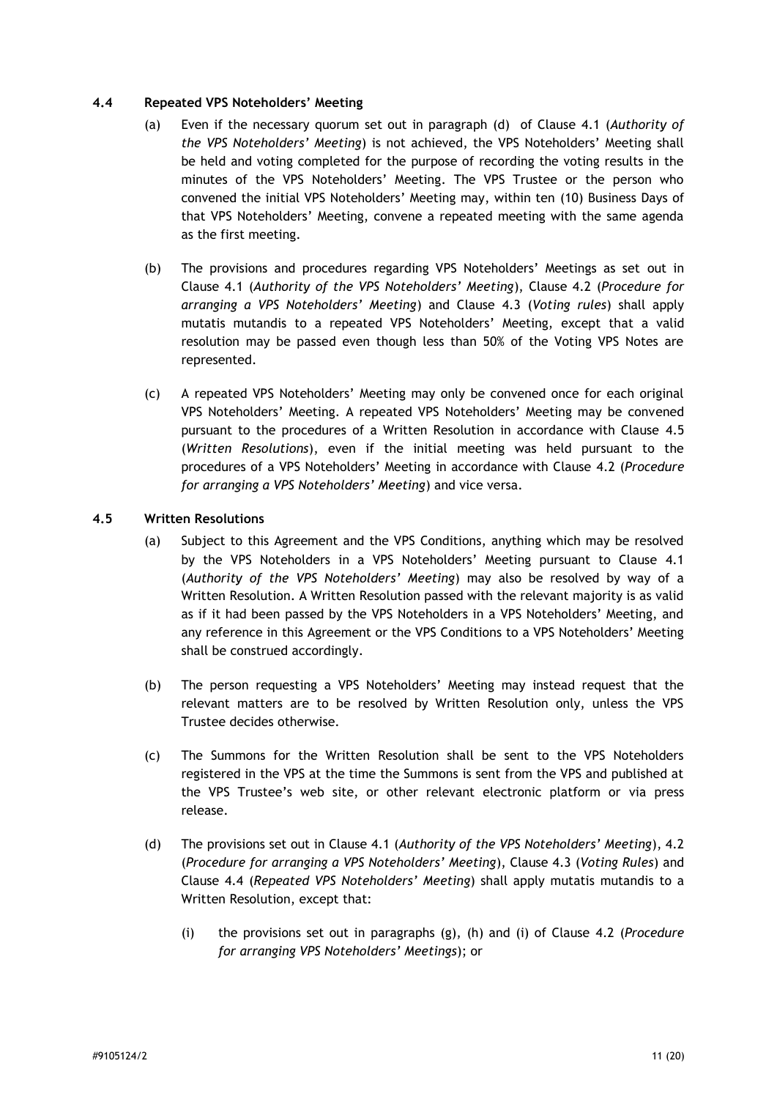### <span id="page-11-1"></span>**4.4 Repeated VPS Noteholders' Meeting**

- (a) Even if the necessary quorum set out in paragraph (d) of Clause [4.1](#page-7-2) (*Authority of the VPS Noteholders' Meeting*) is not achieved, the VPS Noteholders' Meeting shall be held and voting completed for the purpose of recording the voting results in the minutes of the VPS Noteholders' Meeting. The VPS Trustee or the person who convened the initial VPS Noteholders' Meeting may, within ten (10) Business Days of that VPS Noteholders' Meeting, convene a repeated meeting with the same agenda as the first meeting.
- (b) The provisions and procedures regarding VPS Noteholders' Meetings as set out in Clause [4.1](#page-7-2) (*Authority of the VPS Noteholders' Meeting*), Clause [4.2](#page-8-0) (*Procedure for arranging a VPS Noteholders' Meeting*) and Clause [4.3](#page-10-0) (*Voting rules*) shall apply mutatis mutandis to a repeated VPS Noteholders' Meeting, except that a valid resolution may be passed even though less than 50% of the Voting VPS Notes are represented.
- (c) A repeated VPS Noteholders' Meeting may only be convened once for each original VPS Noteholders' Meeting. A repeated VPS Noteholders' Meeting may be convened pursuant to the procedures of a Written Resolution in accordance with Clause [4.5](#page-11-0) (*Written Resolutions*), even if the initial meeting was held pursuant to the procedures of a VPS Noteholders' Meeting in accordance with Clause [4.2](#page-8-0) (*Procedure for arranging a VPS Noteholders' Meeting*) and vice versa.

## <span id="page-11-0"></span>**4.5 Written Resolutions**

- (a) Subject to this Agreement and the VPS Conditions, anything which may be resolved by the VPS Noteholders in a VPS Noteholders' Meeting pursuant to Clause [4.1](#page-7-2) (*Authority of the VPS Noteholders' Meeting*) may also be resolved by way of a Written Resolution. A Written Resolution passed with the relevant majority is as valid as if it had been passed by the VPS Noteholders in a VPS Noteholders' Meeting, and any reference in this Agreement or the VPS Conditions to a VPS Noteholders' Meeting shall be construed accordingly.
- (b) The person requesting a VPS Noteholders' Meeting may instead request that the relevant matters are to be resolved by Written Resolution only, unless the VPS Trustee decides otherwise.
- (c) The Summons for the Written Resolution shall be sent to the VPS Noteholders registered in the VPS at the time the Summons is sent from the VPS and published at the VPS Trustee's web site, or other relevant electronic platform or via press release.
- (d) The provisions set out in Clause [4.1](#page-7-2) (*Authority of the VPS Noteholders' Meeting*), 4.2 (*Procedure for arranging a VPS Noteholders' Meeting*), Clause [4.3](#page-10-0) (*Voting Rules*) and Clause [4.4](#page-11-1) (*Repeated VPS Noteholders' Meeting*) shall apply mutatis mutandis to a Written Resolution, except that:
	- (i) the provisions set out in paragraphs (g), (h) and (i) of Clause [4.2](#page-8-0) (*Procedure for arranging VPS Noteholders' Meetings*); or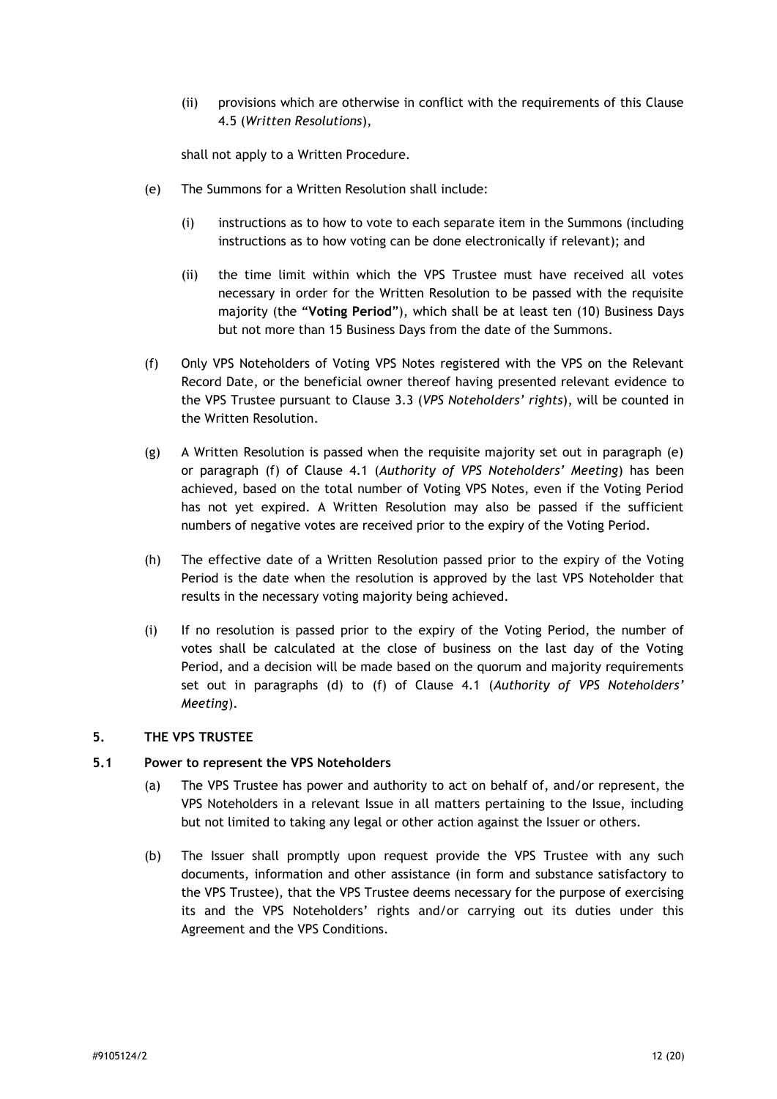(ii) provisions which are otherwise in conflict with the requirements of this Clause [4.5](#page-11-0) (*Written Resolutions*),

shall not apply to a Written Procedure.

- (e) The Summons for a Written Resolution shall include:
	- (i) instructions as to how to vote to each separate item in the Summons (including instructions as to how voting can be done electronically if relevant); and
	- (ii) the time limit within which the VPS Trustee must have received all votes necessary in order for the Written Resolution to be passed with the requisite majority (the "**Voting Period**"), which shall be at least ten (10) Business Days but not more than 15 Business Days from the date of the Summons.
- (f) Only VPS Noteholders of Voting VPS Notes registered with the VPS on the Relevant Record Date, or the beneficial owner thereof having presented relevant evidence to the VPS Trustee pursuant to Clause [3.3](#page-7-1) (*VPS Noteholders' rights*), will be counted in the Written Resolution.
- (g) A Written Resolution is passed when the requisite majority set out in paragraph (e) or paragraph (f) of Clause [4.1](#page-7-2) (*Authority of VPS Noteholders' Meeting*) has been achieved, based on the total number of Voting VPS Notes, even if the Voting Period has not yet expired. A Written Resolution may also be passed if the sufficient numbers of negative votes are received prior to the expiry of the Voting Period.
- (h) The effective date of a Written Resolution passed prior to the expiry of the Voting Period is the date when the resolution is approved by the last VPS Noteholder that results in the necessary voting majority being achieved.
- (i) If no resolution is passed prior to the expiry of the Voting Period, the number of votes shall be calculated at the close of business on the last day of the Voting Period, and a decision will be made based on the quorum and majority requirements set out in paragraphs (d) to (f) of Clause [4.1](#page-7-2) (*Authority of VPS Noteholders' Meeting*).

#### <span id="page-12-0"></span>**5. THE VPS TRUSTEE**

#### <span id="page-12-1"></span>**5.1 Power to represent the VPS Noteholders**

- (a) The VPS Trustee has power and authority to act on behalf of, and/or represent, the VPS Noteholders in a relevant Issue in all matters pertaining to the Issue, including but not limited to taking any legal or other action against the Issuer or others.
- (b) The Issuer shall promptly upon request provide the VPS Trustee with any such documents, information and other assistance (in form and substance satisfactory to the VPS Trustee), that the VPS Trustee deems necessary for the purpose of exercising its and the VPS Noteholders' rights and/or carrying out its duties under this Agreement and the VPS Conditions.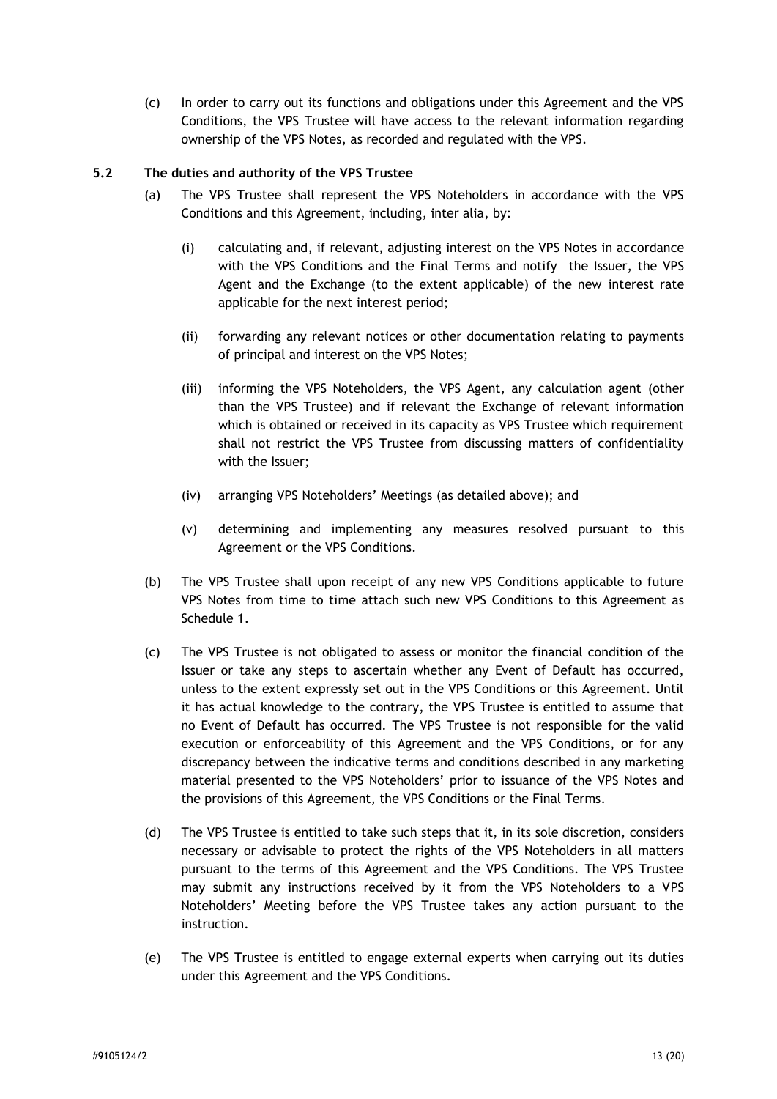(c) In order to carry out its functions and obligations under this Agreement and the VPS Conditions, the VPS Trustee will have access to the relevant information regarding ownership of the VPS Notes, as recorded and regulated with the VPS.

## **5.2 The duties and authority of the VPS Trustee**

- (a) The VPS Trustee shall represent the VPS Noteholders in accordance with the VPS Conditions and this Agreement, including, inter alia, by:
	- (i) calculating and, if relevant, adjusting interest on the VPS Notes in accordance with the VPS Conditions and the Final Terms and notify the Issuer, the VPS Agent and the Exchange (to the extent applicable) of the new interest rate applicable for the next interest period;
	- (ii) forwarding any relevant notices or other documentation relating to payments of principal and interest on the VPS Notes;
	- (iii) informing the VPS Noteholders, the VPS Agent, any calculation agent (other than the VPS Trustee) and if relevant the Exchange of relevant information which is obtained or received in its capacity as VPS Trustee which requirement shall not restrict the VPS Trustee from discussing matters of confidentiality with the Issuer;
	- (iv) arranging VPS Noteholders' Meetings (as detailed above); and
	- (v) determining and implementing any measures resolved pursuant to this Agreement or the VPS Conditions.
- (b) The VPS Trustee shall upon receipt of any new VPS Conditions applicable to future VPS Notes from time to time attach such new VPS Conditions to this Agreement as Schedule 1.
- (c) The VPS Trustee is not obligated to assess or monitor the financial condition of the Issuer or take any steps to ascertain whether any Event of Default has occurred, unless to the extent expressly set out in the VPS Conditions or this Agreement. Until it has actual knowledge to the contrary, the VPS Trustee is entitled to assume that no Event of Default has occurred. The VPS Trustee is not responsible for the valid execution or enforceability of this Agreement and the VPS Conditions, or for any discrepancy between the indicative terms and conditions described in any marketing material presented to the VPS Noteholders' prior to issuance of the VPS Notes and the provisions of this Agreement, the VPS Conditions or the Final Terms.
- (d) The VPS Trustee is entitled to take such steps that it, in its sole discretion, considers necessary or advisable to protect the rights of the VPS Noteholders in all matters pursuant to the terms of this Agreement and the VPS Conditions. The VPS Trustee may submit any instructions received by it from the VPS Noteholders to a VPS Noteholders' Meeting before the VPS Trustee takes any action pursuant to the instruction.
- (e) The VPS Trustee is entitled to engage external experts when carrying out its duties under this Agreement and the VPS Conditions.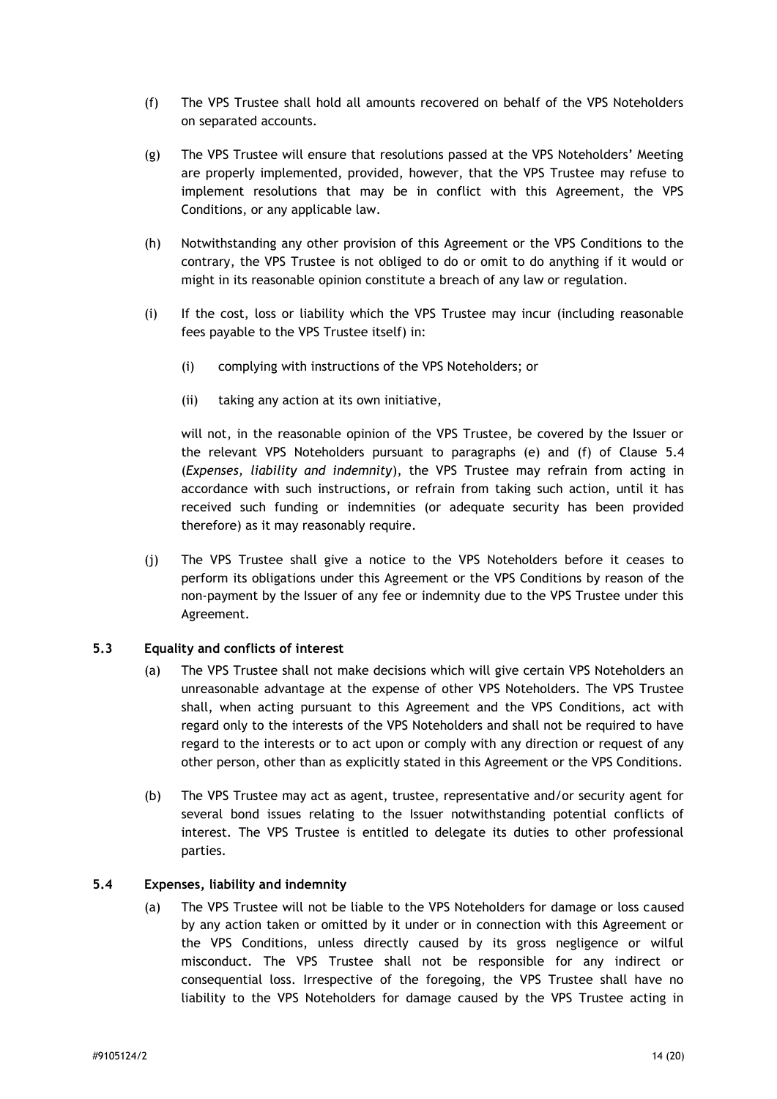- (f) The VPS Trustee shall hold all amounts recovered on behalf of the VPS Noteholders on separated accounts.
- (g) The VPS Trustee will ensure that resolutions passed at the VPS Noteholders' Meeting are properly implemented, provided, however, that the VPS Trustee may refuse to implement resolutions that may be in conflict with this Agreement, the VPS Conditions, or any applicable law.
- (h) Notwithstanding any other provision of this Agreement or the VPS Conditions to the contrary, the VPS Trustee is not obliged to do or omit to do anything if it would or might in its reasonable opinion constitute a breach of any law or regulation.
- (i) If the cost, loss or liability which the VPS Trustee may incur (including reasonable fees payable to the VPS Trustee itself) in:
	- (i) complying with instructions of the VPS Noteholders; or
	- (ii) taking any action at its own initiative,

will not, in the reasonable opinion of the VPS Trustee, be covered by the Issuer or the relevant VPS Noteholders pursuant to paragraphs (e) and (f) of Clause [5.4](#page-14-0) (*Expenses, liability and indemnity*), the VPS Trustee may refrain from acting in accordance with such instructions, or refrain from taking such action, until it has received such funding or indemnities (or adequate security has been provided therefore) as it may reasonably require.

(j) The VPS Trustee shall give a notice to the VPS Noteholders before it ceases to perform its obligations under this Agreement or the VPS Conditions by reason of the non-payment by the Issuer of any fee or indemnity due to the VPS Trustee under this Agreement.

#### **5.3 Equality and conflicts of interest**

- (a) The VPS Trustee shall not make decisions which will give certain VPS Noteholders an unreasonable advantage at the expense of other VPS Noteholders. The VPS Trustee shall, when acting pursuant to this Agreement and the VPS Conditions, act with regard only to the interests of the VPS Noteholders and shall not be required to have regard to the interests or to act upon or comply with any direction or request of any other person, other than as explicitly stated in this Agreement or the VPS Conditions.
- (b) The VPS Trustee may act as agent, trustee, representative and/or security agent for several bond issues relating to the Issuer notwithstanding potential conflicts of interest. The VPS Trustee is entitled to delegate its duties to other professional parties.

## <span id="page-14-0"></span>**5.4 Expenses, liability and indemnity**

(a) The VPS Trustee will not be liable to the VPS Noteholders for damage or loss caused by any action taken or omitted by it under or in connection with this Agreement or the VPS Conditions, unless directly caused by its gross negligence or wilful misconduct. The VPS Trustee shall not be responsible for any indirect or consequential loss. Irrespective of the foregoing, the VPS Trustee shall have no liability to the VPS Noteholders for damage caused by the VPS Trustee acting in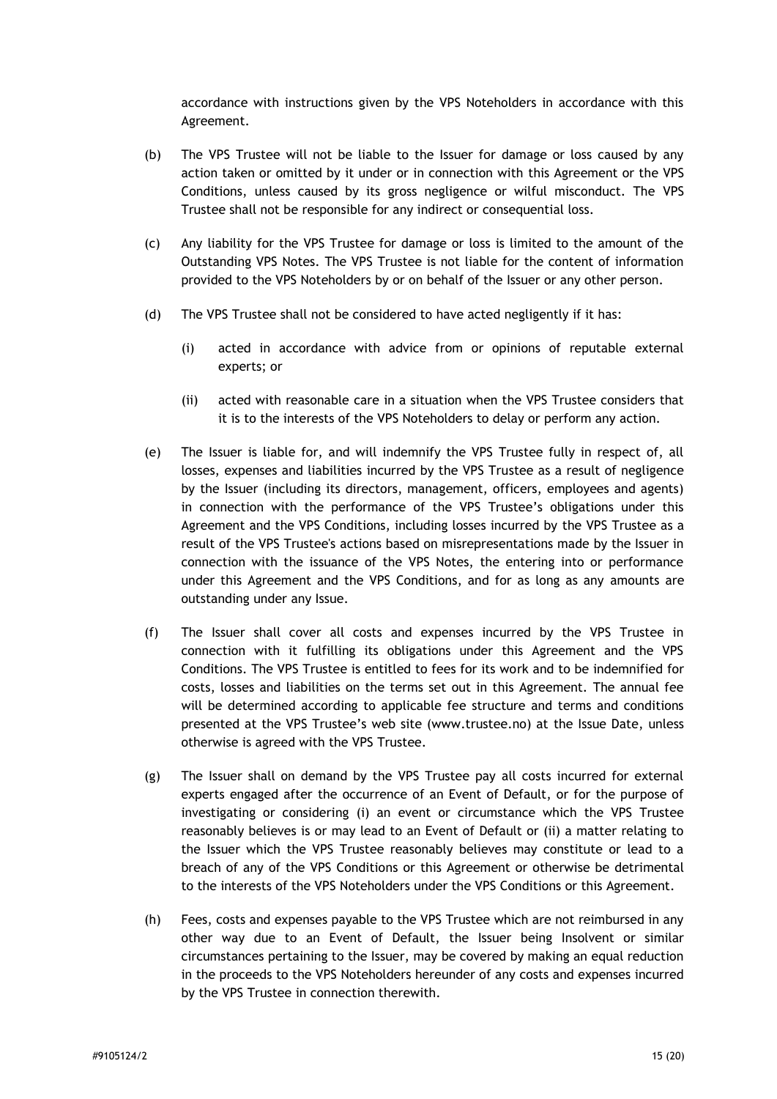accordance with instructions given by the VPS Noteholders in accordance with this Agreement.

- (b) The VPS Trustee will not be liable to the Issuer for damage or loss caused by any action taken or omitted by it under or in connection with this Agreement or the VPS Conditions, unless caused by its gross negligence or wilful misconduct. The VPS Trustee shall not be responsible for any indirect or consequential loss.
- (c) Any liability for the VPS Trustee for damage or loss is limited to the amount of the Outstanding VPS Notes. The VPS Trustee is not liable for the content of information provided to the VPS Noteholders by or on behalf of the Issuer or any other person.
- (d) The VPS Trustee shall not be considered to have acted negligently if it has:
	- (i) acted in accordance with advice from or opinions of reputable external experts; or
	- (ii) acted with reasonable care in a situation when the VPS Trustee considers that it is to the interests of the VPS Noteholders to delay or perform any action.
- (e) The Issuer is liable for, and will indemnify the VPS Trustee fully in respect of, all losses, expenses and liabilities incurred by the VPS Trustee as a result of negligence by the Issuer (including its directors, management, officers, employees and agents) in connection with the performance of the VPS Trustee's obligations under this Agreement and the VPS Conditions, including losses incurred by the VPS Trustee as a result of the VPS Trustee's actions based on misrepresentations made by the Issuer in connection with the issuance of the VPS Notes, the entering into or performance under this Agreement and the VPS Conditions, and for as long as any amounts are outstanding under any Issue.
- (f) The Issuer shall cover all costs and expenses incurred by the VPS Trustee in connection with it fulfilling its obligations under this Agreement and the VPS Conditions. The VPS Trustee is entitled to fees for its work and to be indemnified for costs, losses and liabilities on the terms set out in this Agreement. The annual fee will be determined according to applicable fee structure and terms and conditions presented at the VPS Trustee's web site (www.trustee.no) at the Issue Date, unless otherwise is agreed with the VPS Trustee.
- (g) The Issuer shall on demand by the VPS Trustee pay all costs incurred for external experts engaged after the occurrence of an Event of Default, or for the purpose of investigating or considering (i) an event or circumstance which the VPS Trustee reasonably believes is or may lead to an Event of Default or (ii) a matter relating to the Issuer which the VPS Trustee reasonably believes may constitute or lead to a breach of any of the VPS Conditions or this Agreement or otherwise be detrimental to the interests of the VPS Noteholders under the VPS Conditions or this Agreement.
- (h) Fees, costs and expenses payable to the VPS Trustee which are not reimbursed in any other way due to an Event of Default, the Issuer being Insolvent or similar circumstances pertaining to the Issuer, may be covered by making an equal reduction in the proceeds to the VPS Noteholders hereunder of any costs and expenses incurred by the VPS Trustee in connection therewith.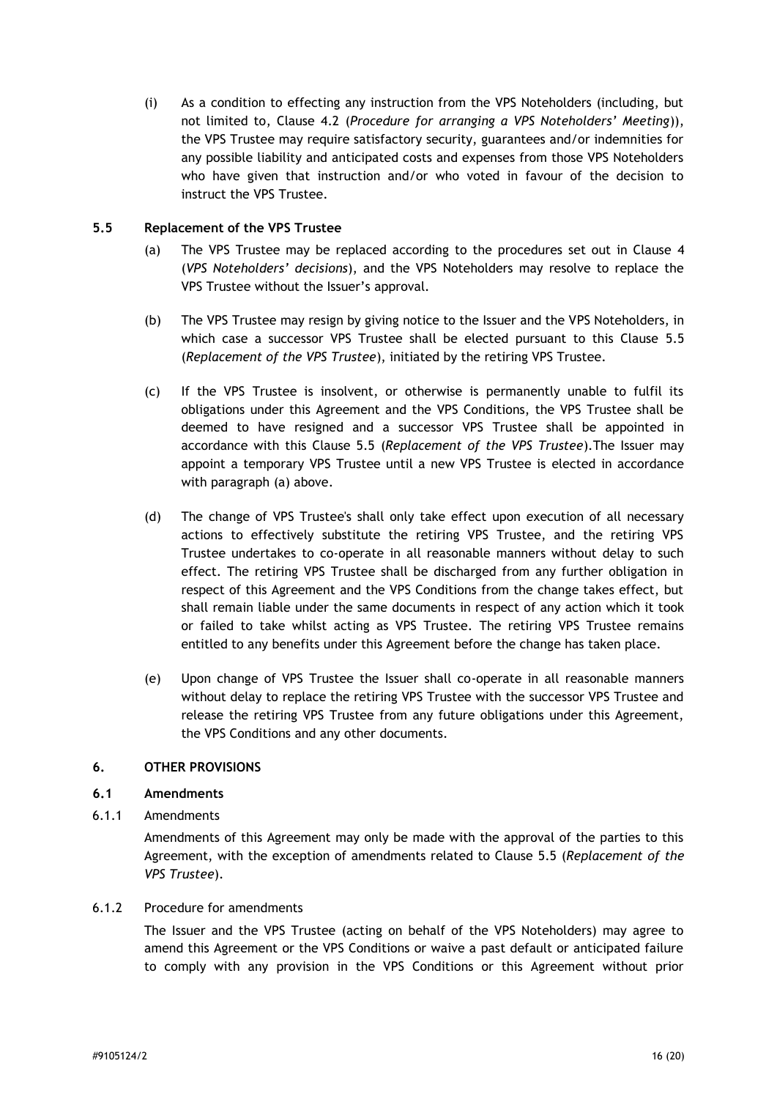(i) As a condition to effecting any instruction from the VPS Noteholders (including, but not limited to, Clause [4.2](#page-8-0) (*Procedure for arranging a VPS Noteholders' Meeting*)), the VPS Trustee may require satisfactory security, guarantees and/or indemnities for any possible liability and anticipated costs and expenses from those VPS Noteholders who have given that instruction and/or who voted in favour of the decision to instruct the VPS Trustee.

#### <span id="page-16-1"></span>**5.5 Replacement of the VPS Trustee**

- (a) The VPS Trustee may be replaced according to the procedures set out in Clause [4](#page-7-0) (*VPS Noteholders' decisions*), and the VPS Noteholders may resolve to replace the VPS Trustee without the Issuer's approval.
- (b) The VPS Trustee may resign by giving notice to the Issuer and the VPS Noteholders, in which case a successor VPS Trustee shall be elected pursuant to this Clause [5.5](#page-16-1) (*Replacement of the VPS Trustee*), initiated by the retiring VPS Trustee.
- (c) If the VPS Trustee is insolvent, or otherwise is permanently unable to fulfil its obligations under this Agreement and the VPS Conditions, the VPS Trustee shall be deemed to have resigned and a successor VPS Trustee shall be appointed in accordance with this Clause [5.5](#page-16-1) (*Replacement of the VPS Trustee*).The Issuer may appoint a temporary VPS Trustee until a new VPS Trustee is elected in accordance with paragraph (a) above.
- (d) The change of VPS Trustee's shall only take effect upon execution of all necessary actions to effectively substitute the retiring VPS Trustee, and the retiring VPS Trustee undertakes to co-operate in all reasonable manners without delay to such effect. The retiring VPS Trustee shall be discharged from any further obligation in respect of this Agreement and the VPS Conditions from the change takes effect, but shall remain liable under the same documents in respect of any action which it took or failed to take whilst acting as VPS Trustee. The retiring VPS Trustee remains entitled to any benefits under this Agreement before the change has taken place.
- (e) Upon change of VPS Trustee the Issuer shall co-operate in all reasonable manners without delay to replace the retiring VPS Trustee with the successor VPS Trustee and release the retiring VPS Trustee from any future obligations under this Agreement, the VPS Conditions and any other documents.

#### <span id="page-16-0"></span>**6. OTHER PROVISIONS**

#### **6.1 Amendments**

6.1.1 Amendments

Amendments of this Agreement may only be made with the approval of the parties to this Agreement, with the exception of amendments related to Clause [5.5](#page-16-1) (*Replacement of the VPS Trustee*).

#### <span id="page-16-2"></span>6.1.2 Procedure for amendments

The Issuer and the VPS Trustee (acting on behalf of the VPS Noteholders) may agree to amend this Agreement or the VPS Conditions or waive a past default or anticipated failure to comply with any provision in the VPS Conditions or this Agreement without prior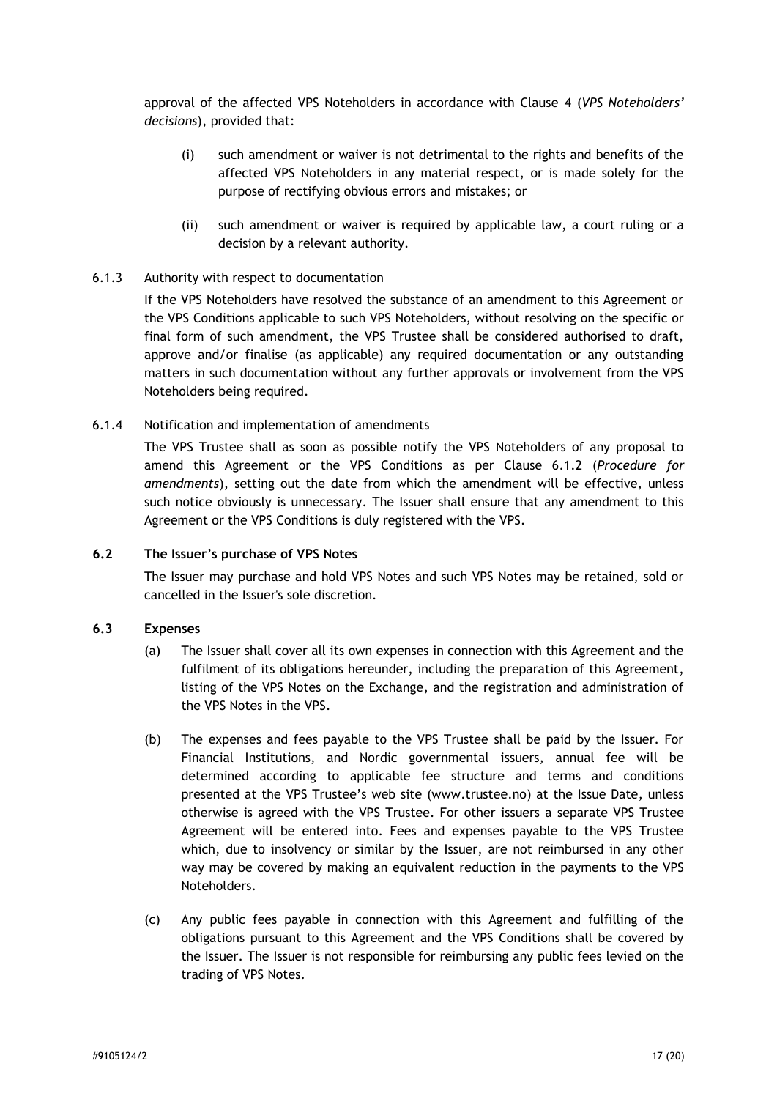approval of the affected VPS Noteholders in accordance with Clause [4](#page-7-0) (*VPS Noteholders' decisions*), provided that:

- (i) such amendment or waiver is not detrimental to the rights and benefits of the affected VPS Noteholders in any material respect, or is made solely for the purpose of rectifying obvious errors and mistakes; or
- (ii) such amendment or waiver is required by applicable law, a court ruling or a decision by a relevant authority.

#### 6.1.3 Authority with respect to documentation

If the VPS Noteholders have resolved the substance of an amendment to this Agreement or the VPS Conditions applicable to such VPS Noteholders, without resolving on the specific or final form of such amendment, the VPS Trustee shall be considered authorised to draft, approve and/or finalise (as applicable) any required documentation or any outstanding matters in such documentation without any further approvals or involvement from the VPS Noteholders being required.

6.1.4 Notification and implementation of amendments

The VPS Trustee shall as soon as possible notify the VPS Noteholders of any proposal to amend this Agreement or the VPS Conditions as per Clause [6.1.2](#page-16-2) (*Procedure for amendments*), setting out the date from which the amendment will be effective, unless such notice obviously is unnecessary. The Issuer shall ensure that any amendment to this Agreement or the VPS Conditions is duly registered with the VPS.

#### **6.2 The Issuer's purchase of VPS Notes**

The Issuer may purchase and hold VPS Notes and such VPS Notes may be retained, sold or cancelled in the Issuer's sole discretion.

#### **6.3 Expenses**

- (a) The Issuer shall cover all its own expenses in connection with this Agreement and the fulfilment of its obligations hereunder, including the preparation of this Agreement, listing of the VPS Notes on the Exchange, and the registration and administration of the VPS Notes in the VPS.
- (b) The expenses and fees payable to the VPS Trustee shall be paid by the Issuer. For Financial Institutions, and Nordic governmental issuers, annual fee will be determined according to applicable fee structure and terms and conditions presented at the VPS Trustee's web site (www.trustee.no) at the Issue Date, unless otherwise is agreed with the VPS Trustee. For other issuers a separate VPS Trustee Agreement will be entered into. Fees and expenses payable to the VPS Trustee which, due to insolvency or similar by the Issuer, are not reimbursed in any other way may be covered by making an equivalent reduction in the payments to the VPS Noteholders.
- (c) Any public fees payable in connection with this Agreement and fulfilling of the obligations pursuant to this Agreement and the VPS Conditions shall be covered by the Issuer. The Issuer is not responsible for reimbursing any public fees levied on the trading of VPS Notes.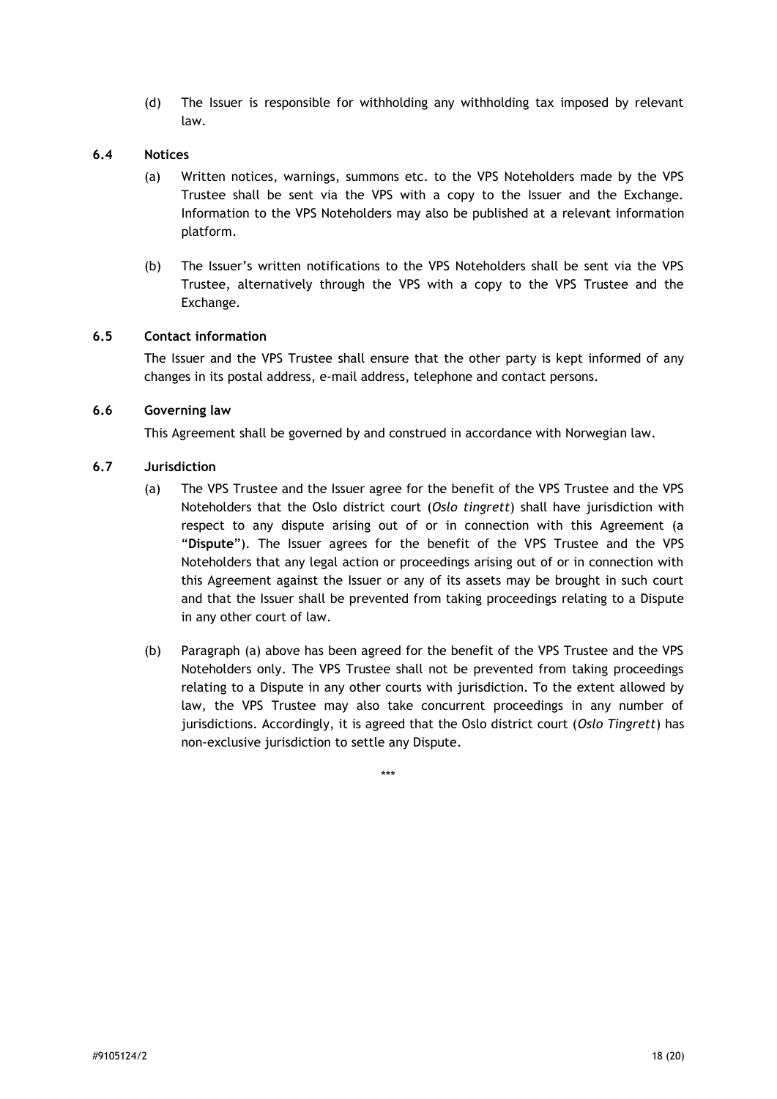(d) The Issuer is responsible for withholding any withholding tax imposed by relevant law.

#### **6.4 Notices**

- (a) Written notices, warnings, summons etc. to the VPS Noteholders made by the VPS Trustee shall be sent via the VPS with a copy to the Issuer and the Exchange. Information to the VPS Noteholders may also be published at a relevant information platform.
- (b) The Issuer's written notifications to the VPS Noteholders shall be sent via the VPS Trustee, alternatively through the VPS with a copy to the VPS Trustee and the Exchange.

## **6.5 Contact information**

The Issuer and the VPS Trustee shall ensure that the other party is kept informed of any changes in its postal address, e-mail address, telephone and contact persons.

#### **6.6 Governing law**

This Agreement shall be governed by and construed in accordance with Norwegian law.

#### **6.7 Jurisdiction**

- (a) The VPS Trustee and the Issuer agree for the benefit of the VPS Trustee and the VPS Noteholders that the Oslo district court (*Oslo tingrett*) shall have jurisdiction with respect to any dispute arising out of or in connection with this Agreement (a "**Dispute**"). The Issuer agrees for the benefit of the VPS Trustee and the VPS Noteholders that any legal action or proceedings arising out of or in connection with this Agreement against the Issuer or any of its assets may be brought in such court and that the Issuer shall be prevented from taking proceedings relating to a Dispute in any other court of law.
- (b) Paragraph (a) above has been agreed for the benefit of the VPS Trustee and the VPS Noteholders only. The VPS Trustee shall not be prevented from taking proceedings relating to a Dispute in any other courts with jurisdiction. To the extent allowed by law, the VPS Trustee may also take concurrent proceedings in any number of jurisdictions. Accordingly, it is agreed that the Oslo district court (*Oslo Tingrett*) has non-exclusive jurisdiction to settle any Dispute.

\*\*\*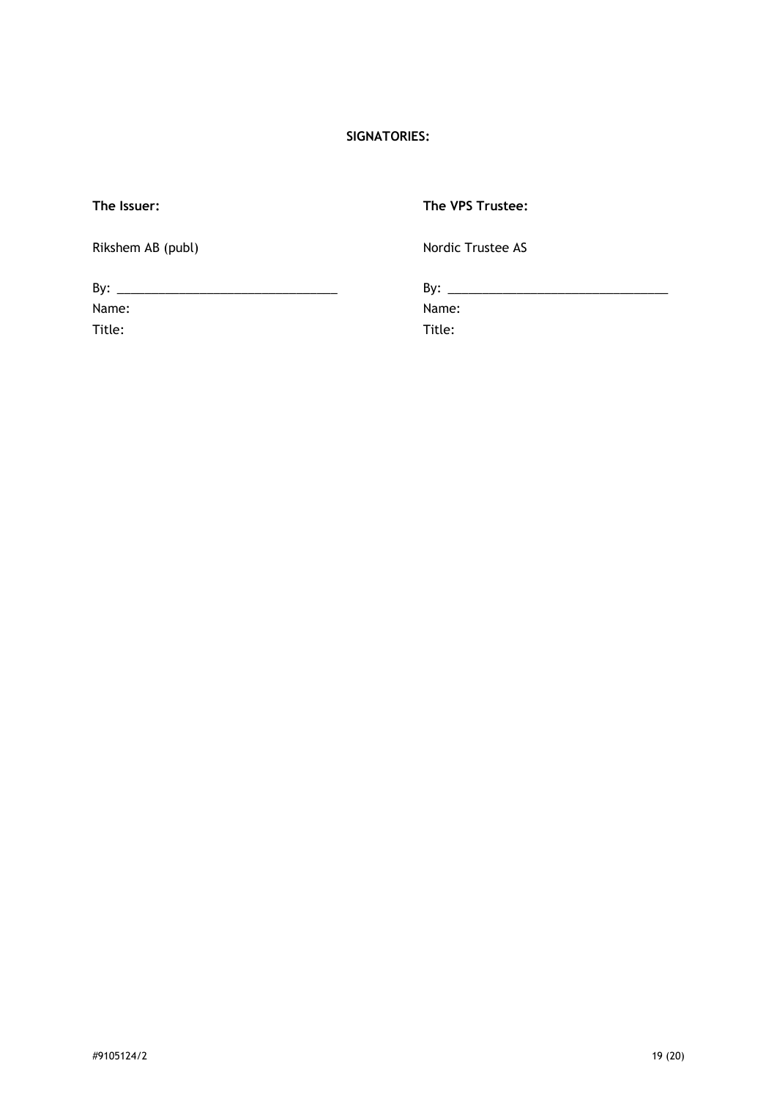# **SIGNATORIES:**

| The Issuer:       | The VPS Trustee:  |  |
|-------------------|-------------------|--|
| Rikshem AB (publ) | Nordic Trustee AS |  |
|                   |                   |  |
| Name:             | Name:             |  |
| Title:            | Title:            |  |
|                   |                   |  |